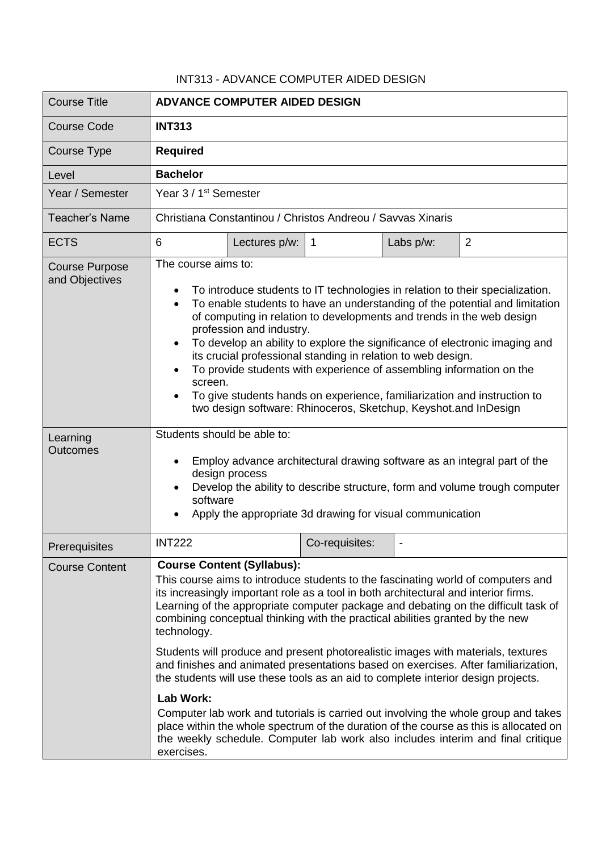## INT313 - ADVANCE COMPUTER AIDED DESIGN

| <b>Course Title</b>                     | <b>ADVANCE COMPUTER AIDED DESIGN</b>                                                                                                                                                                                                                                                                                                                                                                                                                                                                                                                                                                                                                                                                                                                                                                                                                                                                                                                                  |               |                |           |                |
|-----------------------------------------|-----------------------------------------------------------------------------------------------------------------------------------------------------------------------------------------------------------------------------------------------------------------------------------------------------------------------------------------------------------------------------------------------------------------------------------------------------------------------------------------------------------------------------------------------------------------------------------------------------------------------------------------------------------------------------------------------------------------------------------------------------------------------------------------------------------------------------------------------------------------------------------------------------------------------------------------------------------------------|---------------|----------------|-----------|----------------|
| <b>Course Code</b>                      | <b>INT313</b>                                                                                                                                                                                                                                                                                                                                                                                                                                                                                                                                                                                                                                                                                                                                                                                                                                                                                                                                                         |               |                |           |                |
| Course Type                             | <b>Required</b>                                                                                                                                                                                                                                                                                                                                                                                                                                                                                                                                                                                                                                                                                                                                                                                                                                                                                                                                                       |               |                |           |                |
| Level                                   | <b>Bachelor</b>                                                                                                                                                                                                                                                                                                                                                                                                                                                                                                                                                                                                                                                                                                                                                                                                                                                                                                                                                       |               |                |           |                |
| Year / Semester                         | Year 3 / 1 <sup>st</sup> Semester                                                                                                                                                                                                                                                                                                                                                                                                                                                                                                                                                                                                                                                                                                                                                                                                                                                                                                                                     |               |                |           |                |
| <b>Teacher's Name</b>                   | Christiana Constantinou / Christos Andreou / Savvas Xinaris                                                                                                                                                                                                                                                                                                                                                                                                                                                                                                                                                                                                                                                                                                                                                                                                                                                                                                           |               |                |           |                |
| <b>ECTS</b>                             | 6                                                                                                                                                                                                                                                                                                                                                                                                                                                                                                                                                                                                                                                                                                                                                                                                                                                                                                                                                                     | Lectures p/w: | $\overline{1}$ | Labs p/w: | $\overline{2}$ |
| <b>Course Purpose</b><br>and Objectives | The course aims to:<br>To introduce students to IT technologies in relation to their specialization.<br>To enable students to have an understanding of the potential and limitation<br>of computing in relation to developments and trends in the web design<br>profession and industry.<br>To develop an ability to explore the significance of electronic imaging and<br>its crucial professional standing in relation to web design.<br>To provide students with experience of assembling information on the<br>screen.<br>To give students hands on experience, familiarization and instruction to<br>two design software: Rhinoceros, Sketchup, Keyshot.and InDesign                                                                                                                                                                                                                                                                                             |               |                |           |                |
| Learning<br><b>Outcomes</b>             | Students should be able to:<br>Employ advance architectural drawing software as an integral part of the<br>design process<br>Develop the ability to describe structure, form and volume trough computer<br>software<br>Apply the appropriate 3d drawing for visual communication                                                                                                                                                                                                                                                                                                                                                                                                                                                                                                                                                                                                                                                                                      |               |                |           |                |
| Prerequisites                           | <b>INT222</b>                                                                                                                                                                                                                                                                                                                                                                                                                                                                                                                                                                                                                                                                                                                                                                                                                                                                                                                                                         |               | Co-requisites: |           |                |
| <b>Course Content</b>                   | <b>Course Content (Syllabus):</b><br>This course aims to introduce students to the fascinating world of computers and<br>its increasingly important role as a tool in both architectural and interior firms.<br>Learning of the appropriate computer package and debating on the difficult task of<br>combining conceptual thinking with the practical abilities granted by the new<br>technology.<br>Students will produce and present photorealistic images with materials, textures<br>and finishes and animated presentations based on exercises. After familiarization,<br>the students will use these tools as an aid to complete interior design projects.<br><b>Lab Work:</b><br>Computer lab work and tutorials is carried out involving the whole group and takes<br>place within the whole spectrum of the duration of the course as this is allocated on<br>the weekly schedule. Computer lab work also includes interim and final critique<br>exercises. |               |                |           |                |